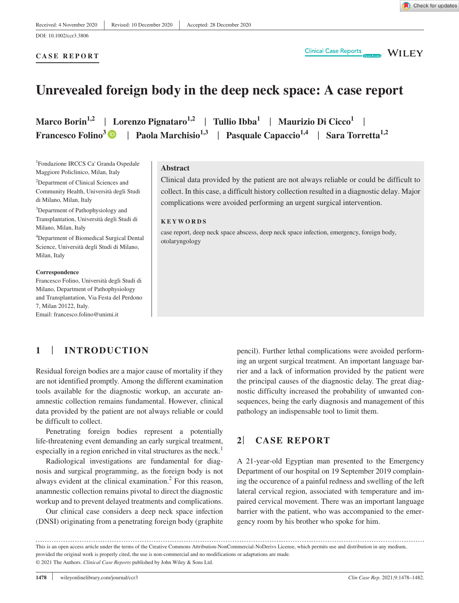**CASE REPORT**

Clinical Case Reports <sub>OpenAcces</sub> WILEY

# **Unrevealed foreign body in the deep neck space: A case report**

**Marco Borin1,2** | **Lorenzo Pignataro1,2** | **Tullio Ibba1** | **Maurizio Di Cicco1** | **Francesco Folino<sup>3</sup> | Paola Marchisio<sup>1,3</sup> | Pasquale Capaccio<sup>1,4</sup> | Sara Torretta<sup>1,2</sup>** 

1 Fondazione IRCCS Ca' Granda Ospedale Maggiore Policlinico, Milan, Italy

<sup>2</sup>Department of Clinical Sciences and Community Health, Università degli Studi di Milano, Milan, Italy

<sup>3</sup>Department of Pathophysiology and Transplantation, Università degli Studi di Milano, Milan, Italy

4 Department of Biomedical Surgical Dental Science, Università degli Studi di Milano, Milan, Italy

#### **Correspondence**

Francesco Folino, Università degli Studi di Milano, Department of Pathophysiology and Transplantation, Via Festa del Perdono 7, Milan 20122, Italy. Email: [francesco.folino@unimi.it](mailto:francesco.folino@unimi.it)

## **Abstract**

Clinical data provided by the patient are not always reliable or could be difficult to collect. In this case, a difficult history collection resulted in a diagnostic delay. Major complications were avoided performing an urgent surgical intervention.

#### **KEYWORDS**

case report, deep neck space abscess, deep neck space infection, emergency, foreign body, otolaryngology

## **1** | **INTRODUCTION**

Residual foreign bodies are a major cause of mortality if they are not identified promptly. Among the different examination tools available for the diagnostic workup, an accurate anamnestic collection remains fundamental. However, clinical data provided by the patient are not always reliable or could be difficult to collect.

Penetrating foreign bodies represent a potentially life-threatening event demanding an early surgical treatment, especially in a region enriched in vital structures as the neck.<sup>1</sup>

Radiological investigations are fundamental for diagnosis and surgical programming, as the foreign body is not always evident at the clinical examination. $<sup>2</sup>$  For this reason,</sup> anamnestic collection remains pivotal to direct the diagnostic workup and to prevent delayed treatments and complications.

Our clinical case considers a deep neck space infection (DNSI) originating from a penetrating foreign body (graphite pencil). Further lethal complications were avoided performing an urgent surgical treatment. An important language barrier and a lack of information provided by the patient were the principal causes of the diagnostic delay. The great diagnostic difficulty increased the probability of unwanted consequences, being the early diagnosis and management of this pathology an indispensable tool to limit them.

## **2**| **CASE REPORT**

A 21-year-old Egyptian man presented to the Emergency Department of our hospital on 19 September 2019 complaining the occurence of a painful redness and swelling of the left lateral cervical region, associated with temperature and impaired cervical movement. There was an important language barrier with the patient, who was accompanied to the emergency room by his brother who spoke for him.

This is an open access article under the terms of the [Creative Commons Attribution-NonCommercial-NoDerivs](http://creativecommons.org/licenses/by-nc-nd/4.0/) License, which permits use and distribution in any medium, provided the original work is properly cited, the use is non-commercial and no modifications or adaptations are made. © 2021 The Authors. *Clinical Case Reports* published by John Wiley & Sons Ltd.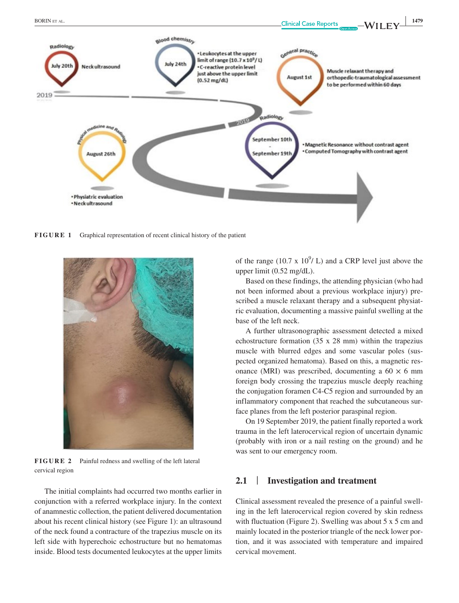

**FIGURE 1** Graphical representation of recent clinical history of the patient



**FIGURE 2** Painful redness and swelling of the left lateral cervical region

The initial complaints had occurred two months earlier in conjunction with a referred workplace injury. In the context of anamnestic collection, the patient delivered documentation about his recent clinical history (see Figure 1): an ultrasound of the neck found a contracture of the trapezius muscle on its left side with hyperechoic echostructure but no hematomas inside. Blood tests documented leukocytes at the upper limits

of the range (10.7 x  $10^9$ / L) and a CRP level just above the upper limit (0.52 mg/dL).

Based on these findings, the attending physician (who had not been informed about a previous workplace injury) prescribed a muscle relaxant therapy and a subsequent physiatric evaluation, documenting a massive painful swelling at the base of the left neck.

A further ultrasonographic assessment detected a mixed echostructure formation (35 x 28 mm) within the trapezius muscle with blurred edges and some vascular poles (suspected organized hematoma). Based on this, a magnetic resonance (MRI) was prescribed, documenting a  $60 \times 6$  mm foreign body crossing the trapezius muscle deeply reaching the conjugation foramen C4-C5 region and surrounded by an inflammatory component that reached the subcutaneous surface planes from the left posterior paraspinal region.

On 19 September 2019, the patient finally reported a work trauma in the left laterocervical region of uncertain dynamic (probably with iron or a nail resting on the ground) and he was sent to our emergency room.

## **2.1** | **Investigation and treatment**

Clinical assessment revealed the presence of a painful swelling in the left laterocervical region covered by skin redness with fluctuation (Figure 2). Swelling was about 5 x 5 cm and mainly located in the posterior triangle of the neck lower portion, and it was associated with temperature and impaired cervical movement.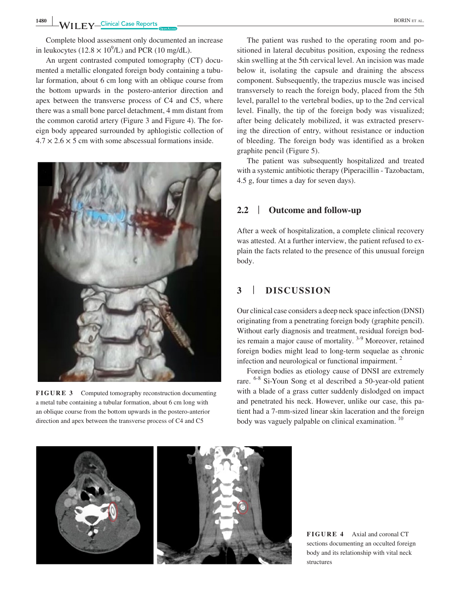**1480 WII FV**-Clinical Case Reports BORIN ET AL.

Complete blood assessment only documented an increase in leukocytes ( $12.8 \times 10^9$ /L) and PCR ( $10 \text{ mg/dL}$ ).

An urgent contrasted computed tomography (CT) documented a metallic elongated foreign body containing a tubular formation, about 6 cm long with an oblique course from the bottom upwards in the postero-anterior direction and apex between the transverse process of C4 and C5, where there was a small bone parcel detachment, 4 mm distant from the common carotid artery (Figure 3 and Figure 4). The foreign body appeared surrounded by aphlogistic collection of  $4.7 \times 2.6 \times 5$  cm with some abscessual formations inside.



**FIGURE 3** Computed tomography reconstruction documenting a metal tube containing a tubular formation, about 6 cm long with an oblique course from the bottom upwards in the postero-anterior direction and apex between the transverse process of C4 and C5

The patient was rushed to the operating room and positioned in lateral decubitus position, exposing the redness skin swelling at the 5th cervical level. An incision was made below it, isolating the capsule and draining the abscess component. Subsequently, the trapezius muscle was incised transversely to reach the foreign body, placed from the 5th level, parallel to the vertebral bodies, up to the 2nd cervical level. Finally, the tip of the foreign body was visualized; after being delicately mobilized, it was extracted preserving the direction of entry, without resistance or induction of bleeding. The foreign body was identified as a broken graphite pencil (Figure 5).

The patient was subsequently hospitalized and treated with a systemic antibiotic therapy (Piperacillin - Tazobactam, 4.5 g, four times a day for seven days).

## **2.2** | **Outcome and follow-up**

After a week of hospitalization, a complete clinical recovery was attested. At a further interview, the patient refused to explain the facts related to the presence of this unusual foreign body.

## **3** | **DISCUSSION**

Our clinical case considers a deep neck space infection (DNSI) originating from a penetrating foreign body (graphite pencil). Without early diagnosis and treatment, residual foreign bodies remain a major cause of mortality. 3-9 Moreover, retained foreign bodies might lead to long-term sequelae as chronic infection and neurological or functional impairment.<sup>2</sup>

Foreign bodies as etiology cause of DNSI are extremely rare. <sup>6-8</sup> Si-Youn Song et al described a 50-year-old patient with a blade of a grass cutter suddenly dislodged on impact and penetrated his neck. However, unlike our case, this patient had a 7-mm-sized linear skin laceration and the foreign body was vaguely palpable on clinical examination.<sup>10</sup>



**FIGURE 4** Axial and coronal CT sections documenting an occulted foreign body and its relationship with vital neck structures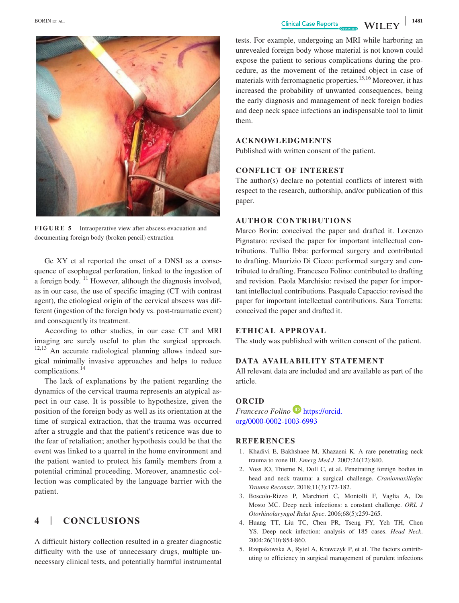

**FIGURE 5** Intraoperative view after abscess evacuation and documenting foreign body (broken pencil) extraction

Ge XY et al reported the onset of a DNSI as a consequence of esophageal perforation, linked to the ingestion of a foreign body.  $11$  However, although the diagnosis involved, as in our case, the use of specific imaging (CT with contrast agent), the etiological origin of the cervical abscess was different (ingestion of the foreign body vs. post-traumatic event) and consequently its treatment.

According to other studies, in our case CT and MRI imaging are surely useful to plan the surgical approach.  $12,13$  An accurate radiological planning allows indeed surgical minimally invasive approaches and helps to reduce complications.<sup>14</sup>

The lack of explanations by the patient regarding the dynamics of the cervical trauma represents an atypical aspect in our case. It is possible to hypothesize, given the position of the foreign body as well as its orientation at the time of surgical extraction, that the trauma was occurred after a struggle and that the patient's reticence was due to the fear of retaliation; another hypothesis could be that the event was linked to a quarrel in the home environment and the patient wanted to protect his family members from a potential criminal proceeding. Moreover, anamnestic collection was complicated by the language barrier with the patient.

## **4** | **CONCLUSIONS**

A difficult history collection resulted in a greater diagnostic difficulty with the use of unnecessary drugs, multiple unnecessary clinical tests, and potentially harmful instrumental tests. For example, undergoing an MRI while harboring an unrevealed foreign body whose material is not known could expose the patient to serious complications during the procedure, as the movement of the retained object in case of materials with ferromagnetic properties.<sup>15,16</sup> Moreover, it has increased the probability of unwanted consequences, being the early diagnosis and management of neck foreign bodies and deep neck space infections an indispensable tool to limit them.

## **ACKNOWLEDGMENTS**

Published with written consent of the patient.

## **CONFLICT OF INTEREST**

The author(s) declare no potential conflicts of interest with respect to the research, authorship, and/or publication of this paper.

## **AUTHOR CONTRIBUTIONS**

Marco Borin: conceived the paper and drafted it. Lorenzo Pignataro: revised the paper for important intellectual contributions. Tullio Ibba: performed surgery and contributed to drafting. Maurizio Di Cicco: performed surgery and contributed to drafting. Francesco Folino: contributed to drafting and revision. Paola Marchisio: revised the paper for important intellectual contributions. Pasquale Capaccio: revised the paper for important intellectual contributions. Sara Torretta: conceived the paper and drafted it.

### **ETHICAL APPROVAL**

The study was published with written consent of the patient.

## **DATA AVAILABILITY STATEMENT**

All relevant data are included and are available as part of the article.

#### **ORCID**

*Francesco Folino* [https://orcid.](https://orcid.org/0000-0002-1003-6993) [org/0000-0002-1003-6993](https://orcid.org/0000-0002-1003-6993)

## **REFERENCES**

- 1. Khadivi E, Bakhshaee M, Khazaeni K. A rare penetrating neck trauma to zone III. *Emerg Med J*. 2007;24(12):840.
- 2. Voss JO, Thieme N, Doll C, et al. Penetrating foreign bodies in head and neck trauma: a surgical challenge. *Craniomaxillofac Trauma Reconstr*. 2018;11(3):172-182.
- 3. Boscolo-Rizzo P, Marchiori C, Montolli F, Vaglia A, Da Mosto MC. Deep neck infections: a constant challenge. *ORL J Otorhinolaryngol Relat Spec*. 2006;68(5):259-265.
- 4. Huang TT, Liu TC, Chen PR, Tseng FY, Yeh TH, Chen YS. Deep neck infection: analysis of 185 cases. *Head Neck*. 2004;26(10):854-860.
- 5. Rzepakowska A, Rytel A, Krawczyk P, et al. The factors contributing to efficiency in surgical management of purulent infections